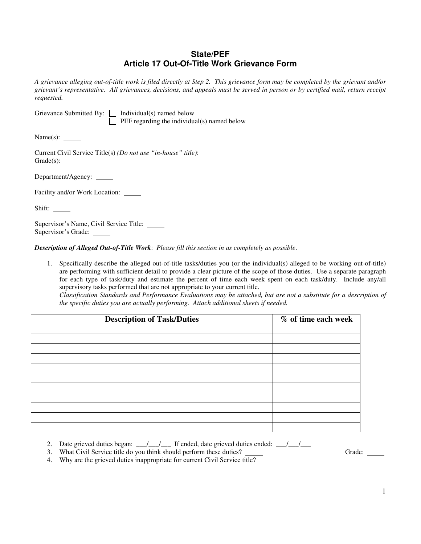## **State/PEF Article 17 Out-Of-Title Work Grievance Form**

*A grievance alleging out-of-title work is filed directly at Step 2. This grievance form may be completed by the grievant and/or grievant's representative. All grievances, decisions, and appeals must be served in person or by certified mail, return receipt requested.* 

|  | Grievance Submitted By: $\Box$ Individual(s) named below |
|--|----------------------------------------------------------|
|  | $\Box$ PEF regarding the individual(s) named below       |

Name(s):

Current Civil Service Title(s) *(Do not use "in-house" title)*: Grade(s):

Department/Agency: \_\_\_\_\_

Facility and/or Work Location:

Shift:

Supervisor's Name, Civil Service Title: Supervisor's Grade:

*Description of Alleged Out-of-Title Work*: *Please fill this section in as completely as possible*.

1. Specifically describe the alleged out-of-title tasks/duties you (or the individual(s) alleged to be working out-of-title) are performing with sufficient detail to provide a clear picture of the scope of those duties. Use a separate paragraph for each type of task/duty and estimate the percent of time each week spent on each task/duty. Include any/all supervisory tasks performed that are not appropriate to your current title.

*Classification Standards and Performance Evaluations may be attached, but are not a substitute for a description of the specific duties you are actually performing. Attach additional sheets if needed.*

| <b>Description of Task/Duties</b> | % of time each week |
|-----------------------------------|---------------------|
|                                   |                     |
|                                   |                     |
|                                   |                     |
|                                   |                     |
|                                   |                     |
|                                   |                     |
|                                   |                     |
|                                   |                     |
|                                   |                     |
|                                   |                     |
|                                   |                     |

- 2. Date grieved duties began:  $\frac{1}{\sqrt{2}}$  If ended, date grieved duties ended:  $\frac{1}{\sqrt{2}}$
- 3. What Civil Service title do you think should perform these duties? Grade:

4. Why are the grieved duties inappropriate for current Civil Service title?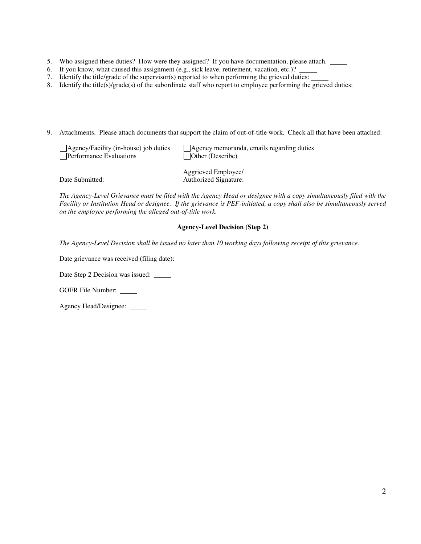- 5. Who assigned these duties? How were they assigned? If you have documentation, please attach.
- 6. If you know, what caused this assignment (e.g., sick leave, retirement, vacation, etc.)?
- 7. Identify the title/grade of the supervisor(s) reported to when performing the grieved duties:
- 8. Identify the title(s)/grade(s) of the subordinate staff who report to employee performing the grieved duties:

9. Attachments. Please attach documents that support the claim of out-of-title work. Check all that have been attached:

| $\Box$ Agency/Facility (in-house) job duties | Agency memoranda, emails regarding duties |
|----------------------------------------------|-------------------------------------------|
| <b>Performance Evaluations</b>               | Other (Describe)                          |

 Aggrieved Employee/ Date Submitted: Authorized Signature:

*The Agency-Level Grievance must be filed with the Agency Head or designee with a copy simultaneously filed with the Facility or Institution Head or designee. If the grievance is PEF-initiated, a copy shall also be simultaneously served on the employee performing the alleged out-of-title work.* 

## **Agency-Level Decision (Step 2)**

*The Agency-Level Decision shall be issued no later than 10 working days following receipt of this grievance.* 

Date grievance was received (filing date): \_\_\_\_\_

 $\ddot{\phantom{a}}$  $\overline{a}$ l

Date Step 2 Decision was issued: \_\_\_\_\_\_

GOER File Number:

Agency Head/Designee: